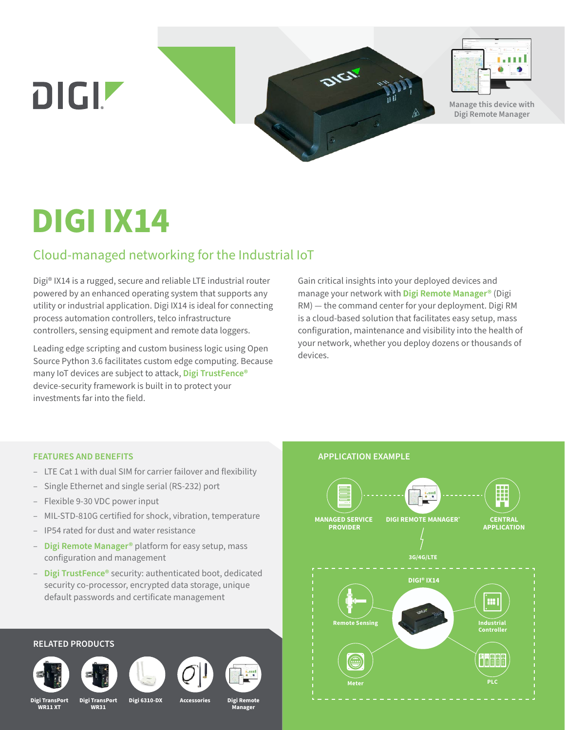



**Manage this device with Digi Remote Manager**

# **DIGI IX14**

## Cloud-managed networking for the Industrial IoT

Digi® IX14 is a rugged, secure and reliable LTE industrial router powered by an enhanced operating system that supports any utility or industrial application. Digi IX14 is ideal for connecting process automation controllers, telco infrastructure controllers, sensing equipment and remote data loggers.

Leading edge scripting and custom business logic using Open Source Python 3.6 facilitates custom edge computing. Because many IoT devices are subject to attack, **[Digi TrustFence®](https://www.digi.com/solutions/by-technology/trustfence)** device-security framework is built in to protect your investments far into the field.

Gain critical insights into your deployed devices and manage your network with **[Digi Remote Manager®](https://www.digi.com/products/iot-software-services/digi-remote-manager)** (Digi RM) — the command center for your deployment. Digi RM is a cloud-based solution that facilitates easy setup, mass configuration, maintenance and visibility into the health of your network, whether you deploy dozens or thousands of devices.

#### **FEATURES AND BENEFITS**

- LTE Cat 1 with dual SIM for carrier failover and flexibility
- Single Ethernet and single serial (RS-232) port
- Flexible 9-30 VDC power input
- MIL-STD-810G certified for shock, vibration, temperature
- IP54 rated for dust and water resistance
- **[Digi Remote Manager®](https://www.digi.com/products/iot-software-services/digi-remote-manager)** platform for easy setup, mass configuration and management
- **[Digi TrustFence®](https://www.digi.com/solutions/by-technology/trustfence)** security: authenticated boot, dedicated security co-processor, encrypted data storage, unique default passwords and certificate management

### **RELATED PRODUCTS**







**Accessories**





**Digi TransPort WR11 XT**

**Digi TransPort WR31** 

**Digi 6310-DX Digi Remote** 

**Manager**

**APPLICATION EXAMPLE**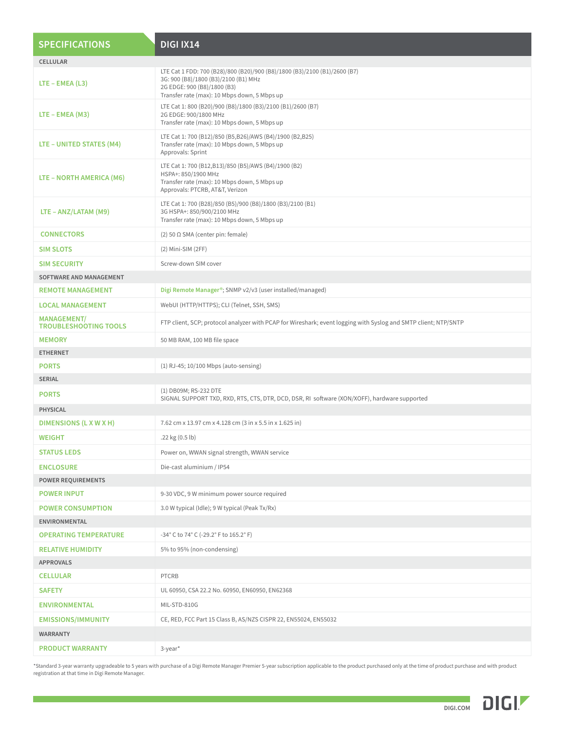| <b>SPECIFICATIONS</b>                              | DIGI IX14                                                                                                                                                                                        |
|----------------------------------------------------|--------------------------------------------------------------------------------------------------------------------------------------------------------------------------------------------------|
| <b>CELLULAR</b>                                    |                                                                                                                                                                                                  |
| $LTE - EMEA (L3)$                                  | LTE Cat 1 FDD: 700 (B28)/800 (B20)/900 (B8)/1800 (B3)/2100 (B1)/2600 (B7)<br>3G: 900 (B8)/1800 (B3)/2100 (B1) MHz<br>2G EDGE: 900 (B8)/1800 (B3)<br>Transfer rate (max): 10 Mbps down, 5 Mbps up |
| $LTE - EMEA (M3)$                                  | LTE Cat 1: 800 (B20)/900 (B8)/1800 (B3)/2100 (B1)/2600 (B7)<br>2G EDGE: 900/1800 MHz<br>Transfer rate (max): 10 Mbps down, 5 Mbps up                                                             |
| LTE - UNITED STATES (M4)                           | LTE Cat 1: 700 (B12)/850 (B5,B26)/AWS (B4)/1900 (B2,B25)<br>Transfer rate (max): 10 Mbps down, 5 Mbps up<br>Approvals: Sprint                                                                    |
| LTE - NORTH AMERICA (M6)                           | LTE Cat 1: 700 (B12,B13)/850 (B5)/AWS (B4)/1900 (B2)<br>HSPA+: 850/1900 MHz<br>Transfer rate (max): 10 Mbps down, 5 Mbps up<br>Approvals: PTCRB, AT&T, Verizon                                   |
| LTE - ANZ/LATAM (M9)                               | LTE Cat 1: 700 (B28)/850 (B5)/900 (B8)/1800 (B3)/2100 (B1)<br>3G HSPA+: 850/900/2100 MHz<br>Transfer rate (max): 10 Mbps down, 5 Mbps up                                                         |
| <b>CONNECTORS</b>                                  | $(2)$ 50 Ω SMA (center pin: female)                                                                                                                                                              |
| <b>SIM SLOTS</b>                                   | (2) Mini-SIM (2FF)                                                                                                                                                                               |
| <b>SIM SECURITY</b>                                | Screw-down SIM cover                                                                                                                                                                             |
| SOFTWARE AND MANAGEMENT                            |                                                                                                                                                                                                  |
| <b>REMOTE MANAGEMENT</b>                           | Digi Remote Manager®; SNMP v2/v3 (user installed/managed)                                                                                                                                        |
| <b>LOCAL MANAGEMENT</b>                            | WebUI (HTTP/HTTPS); CLI (Telnet, SSH, SMS)                                                                                                                                                       |
| <b>MANAGEMENT/</b><br><b>TROUBLESHOOTING TOOLS</b> | FTP client, SCP; protocol analyzer with PCAP for Wireshark; event logging with Syslog and SMTP client; NTP/SNTP                                                                                  |
| <b>MEMORY</b>                                      | 50 MB RAM, 100 MB file space                                                                                                                                                                     |
| <b>ETHERNET</b>                                    |                                                                                                                                                                                                  |
| <b>PORTS</b>                                       | (1) RJ-45; 10/100 Mbps (auto-sensing)                                                                                                                                                            |
| <b>SERIAL</b>                                      |                                                                                                                                                                                                  |
| <b>PORTS</b>                                       | (1) DB09M; RS-232 DTE<br>SIGNAL SUPPORT TXD, RXD, RTS, CTS, DTR, DCD, DSR, RI software (XON/XOFF), hardware supported                                                                            |
| <b>PHYSICAL</b>                                    |                                                                                                                                                                                                  |
| DIMENSIONS (L X W X H)                             | 7.62 cm x 13.97 cm x 4.128 cm (3 in x 5.5 in x 1.625 in)                                                                                                                                         |
| <b>WEIGHT</b>                                      | .22 kg $(0.5 \text{ lb})$                                                                                                                                                                        |
| <b>STATUS LEDS</b>                                 | Power on, WWAN signal strength, WWAN service                                                                                                                                                     |
| <b>ENCLOSURE</b>                                   | Die-cast aluminium / IP54                                                                                                                                                                        |
| <b>POWER REQUIREMENTS</b>                          |                                                                                                                                                                                                  |
| <b>POWER INPUT</b>                                 | 9-30 VDC, 9 W minimum power source required                                                                                                                                                      |
| <b>POWER CONSUMPTION</b>                           | 3.0 W typical (Idle); 9 W typical (Peak Tx/Rx)                                                                                                                                                   |
| <b>ENVIRONMENTAL</b>                               |                                                                                                                                                                                                  |
| <b>OPERATING TEMPERATURE</b>                       | -34° C to 74° C (-29.2° F to 165.2° F)                                                                                                                                                           |
| <b>RELATIVE HUMIDITY</b>                           | 5% to 95% (non-condensing)                                                                                                                                                                       |
| <b>APPROVALS</b>                                   |                                                                                                                                                                                                  |
| <b>CELLULAR</b>                                    | <b>PTCRB</b>                                                                                                                                                                                     |
| <b>SAFETY</b>                                      | UL 60950, CSA 22.2 No. 60950, EN60950, EN62368                                                                                                                                                   |
| <b>ENVIRONMENTAL</b>                               | MIL-STD-810G                                                                                                                                                                                     |
| <b>EMISSIONS/IMMUNITY</b>                          | CE, RED, FCC Part 15 Class B, AS/NZS CISPR 22, EN55024, EN55032                                                                                                                                  |
| <b>WARRANTY</b>                                    |                                                                                                                                                                                                  |
| <b>PRODUCT WARRANTY</b>                            | 3-year*                                                                                                                                                                                          |

\*Standard 3-year warranty upgradeable to 5 years with purchase of a Digi Remote Manager Premier 5-year subscription applicable to the product purchased only at the time of product purchase and with product registration at that time in Digi Remote Manager.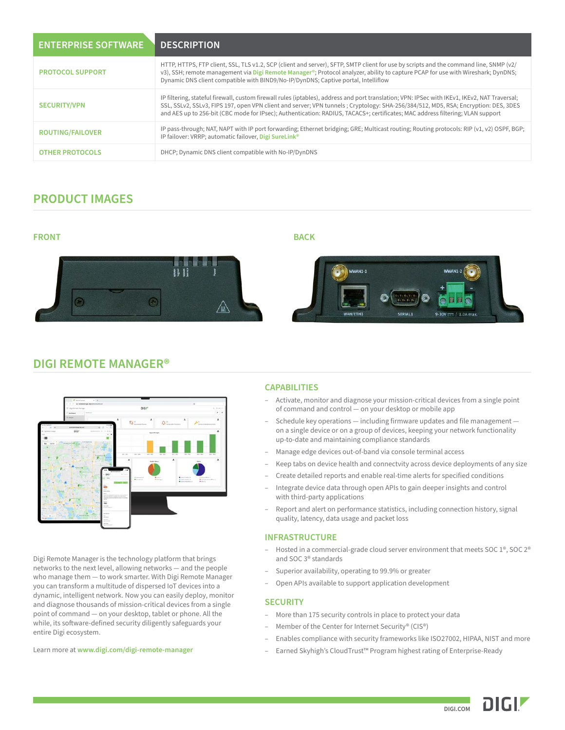| <b>ENTERPRISE SOFTWARE</b> | <b>DESCRIPTION</b>                                                                                                                                                                                                                                                                                                                                                                                                    |
|----------------------------|-----------------------------------------------------------------------------------------------------------------------------------------------------------------------------------------------------------------------------------------------------------------------------------------------------------------------------------------------------------------------------------------------------------------------|
| <b>PROTOCOL SUPPORT</b>    | HTTP, HTTPS, FTP client, SSL, TLS v1.2, SCP (client and server), SFTP, SMTP client for use by scripts and the command line, SNMP (v2/<br>v3), SSH; remote management via Digi Remote Manager®; Protocol analyzer, ability to capture PCAP for use with Wireshark; DynDNS;<br>Dynamic DNS client compatible with BIND9/No-IP/DynDNS; Captive portal, Intelliflow                                                       |
| <b>SECURITY/VPN</b>        | IP filtering, stateful firewall, custom firewall rules (iptables), address and port translation; VPN: IPSec with IKEv1, IKEv2, NAT Traversal;<br>SSL, SSLv2, SSLv3, FIPS 197, open VPN client and server; VPN tunnels; Cryptology: SHA-256/384/512, MD5, RSA; Encryption: DES, 3DES<br>and AES up to 256-bit (CBC mode for IPsec); Authentication: RADIUS, TACACS+; certificates; MAC address filtering; VLAN support |
| <b>ROUTING/FAILOVER</b>    | IP pass-through; NAT, NAPT with IP port forwarding; Ethernet bridging; GRE; Multicast routing; Routing protocols: RIP (v1, v2) OSPF, BGP;<br>IP failover: VRRP; automatic failover, Digi SureLink®                                                                                                                                                                                                                    |
| <b>OTHER PROTOCOLS</b>     | DHCP; Dynamic DNS client compatible with No-IP/DynDNS                                                                                                                                                                                                                                                                                                                                                                 |

## **PRODUCT IMAGES**

#### **FRONT BACK**





## **DIGI REMOTE MANAGER®**



Digi Remote Manager is the technology platform that brings networks to the next level, allowing networks — and the people who manage them — to work smarter. With Digi Remote Manager you can transform a multitude of dispersed IoT devices into a dynamic, intelligent network. Now you can easily deploy, monitor and diagnose thousands of mission-critical devices from a single point of command — on your desktop, tablet or phone. All the while, its software-defined security diligently safeguards your entire Digi ecosystem.

Learn more at **[www.digi.com/digi-remote-manager](https://www.digi.com/digi-remote-manager)**

#### **CAPABILITIES**

- Activate, monitor and diagnose your mission-critical devices from a single point of command and control — on your desktop or mobile app
- Schedule key operations including firmware updates and file management on a single device or on a group of devices, keeping your network functionality up-to-date and maintaining compliance standards
- Manage edge devices out-of-band via console terminal access
- Keep tabs on device health and connectvity across device deployments of any size
- Create detailed reports and enable real-time alerts for specified conditions
- Integrate device data through open APIs to gain deeper insights and control with third-party applications
- Report and alert on performance statistics, including connection history, signal quality, latency, data usage and packet loss

#### **INFRASTRUCTURE**

- Hosted in a commercial-grade cloud server environment that meets SOC 1®, SOC 2® and SOC 3® standards
- Superior availability, operating to 99.9% or greater
- Open APIs available to support application development

#### **SECURITY**

- More than 175 security controls in place to protect your data
- Member of the Center for Internet Security® (CIS®)
- Enables compliance with security frameworks like ISO27002, HIPAA, NIST and more
- Earned Skyhigh's CloudTrust™ Program highest rating of Enterprise-Ready